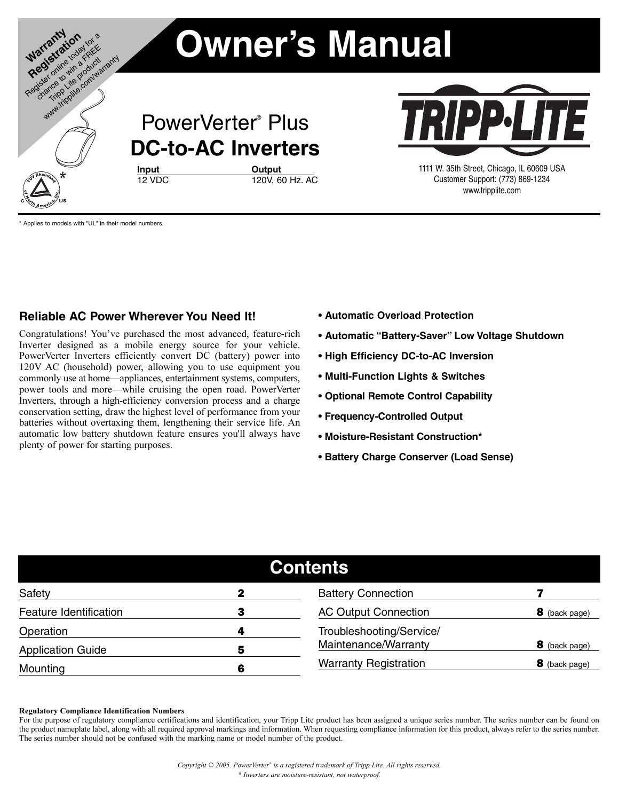

Applies to models with "UL" in their model numbers.

### **Reliable AC Power Wherever You Need It!**

Congratulations! You've purchased the most advanced, feature-rich Inverter designed as a mobile energy source for your vehicle. PowerVerter Inverters efficiently convert DC (battery) power into 120V AC (household) power, allowing you to use equipment you commonly use at home—appliances, entertainment systems, computers, power tools and more—while cruising the open road. PowerVerter Inverters, through a high-efficiency conversion process and a charge conservation setting, draw the highest level of performance from your batteries without overtaxing them, lengthening their service life. An automatic low battery shutdown feature ensures you'll always have plenty of power for starting purposes.

- **Automatic Overload Protection**
- **Automatic "Battery-Saver" Low Voltage Shutdown**
- **High Efficiency DC-to-AC Inversion**
- **Multi-Function Lights & Switches**
- **Optional Remote Control Capability**
- **Frequency-Controlled Output**
- **Moisture-Resistant Construction\***
- **Battery Charge Conserver (Load Sense)**

| <b>Contents</b>          |                               |                              |               |  |
|--------------------------|-------------------------------|------------------------------|---------------|--|
| Safety                   | 2                             | <b>Battery Connection</b>    |               |  |
| Feature Identification   |                               | <b>AC Output Connection</b>  | 8 (back page) |  |
| Operation                | Troubleshooting/Service/<br>4 |                              |               |  |
| <b>Application Guide</b> | 5                             | Maintenance/Warranty         | 8 (back page) |  |
| Mounting                 | 6                             | <b>Warranty Registration</b> | 8 (back page) |  |

#### Regulatory Compliance Identification Numbers

For the purpose of regulatory compliance certifications and identification, your Tripp Lite product has been assigned a unique series number. The series number can be found on the product nameplate label, along with all required approval markings and information. When requesting compliance information for this product, always refer to the series number. The series number should not be confused with the marking name or model number of the product.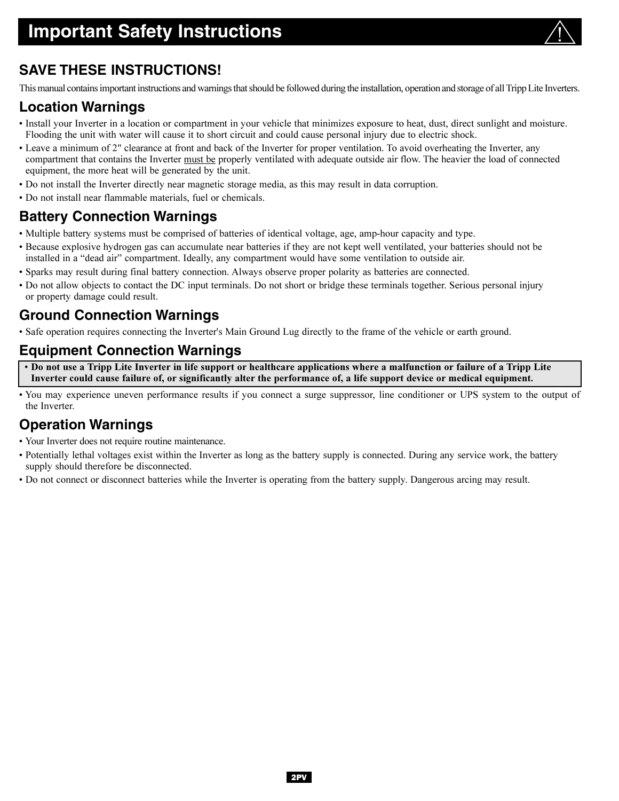

# **SAVE THESE INSTRUCTIONS!**

This manual contains important instructions and warnings that should be followed during the installation, operation and storage of all Tripp Lite Inverters.

## **Location Warnings**

- Install your Inverter in a location or compartment in your vehicle that minimizes exposure to heat, dust, direct sunlight and moisture. Flooding the unit with water will cause it to short circuit and could cause personal injury due to electric shock.
- Leave a minimum of 2" clearance at front and back of the Inverter for proper ventilation. To avoid overheating the Inverter, any compartment that contains the Inverter must be properly ventilated with adequate outside air flow. The heavier the load of connected equipment, the more heat will be generated by the unit.
- Do not install the Inverter directly near magnetic storage media, as this may result in data corruption.
- Do not install near flammable materials, fuel or chemicals.

## **Battery Connection Warnings**

- Multiple battery systems must be comprised of batteries of identical voltage, age, amp-hour capacity and type.
- Because explosive hydrogen gas can accumulate near batteries if they are not kept well ventilated, your batteries should not be installed in a "dead air" compartment. Ideally, any compartment would have some ventilation to outside air.
- Sparks may result during final battery connection. Always observe proper polarity as batteries are connected.
- Do not allow objects to contact the DC input terminals. Do not short or bridge these terminals together. Serious personal injury or property damage could result.

## **Ground Connection Warnings**

• Safe operation requires connecting the Inverter's Main Ground Lug directly to the frame of the vehicle or earth ground.

## **Equipment Connection Warnings**

• Do not use a Tripp Lite Inverter in life support or healthcare applications where a malfunction or failure of a Tripp Lite Inverter could cause failure of, or significantly alter the performance of, a life support device or medical equipment.

• You may experience uneven performance results if you connect a surge suppressor, line conditioner or UPS system to the output of the Inverter.

## **Operation Warnings**

- Your Inverter does not require routine maintenance.
- Potentially lethal voltages exist within the Inverter as long as the battery supply is connected. During any service work, the battery supply should therefore be disconnected.
- Do not connect or disconnect batteries while the Inverter is operating from the battery supply. Dangerous arcing may result.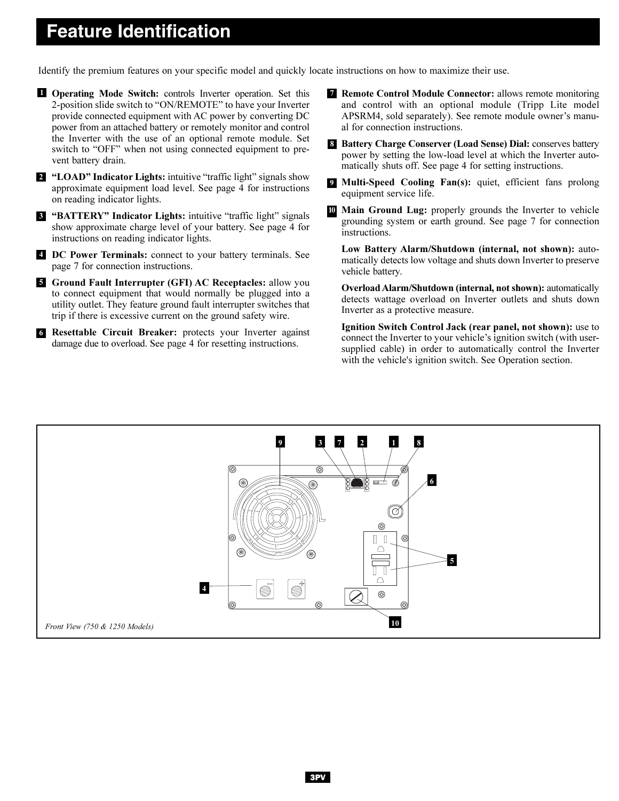# **Feature Identification**

Identify the premium features on your specific model and quickly locate instructions on how to maximize their use.

**I** Operating Mode Switch: controls Inverter operation. Set this 2-position slide switch to "ON/REMOTE" to have your Inverter provide connected equipment with AC power by converting DC power from an attached battery or remotely monitor and control the Inverter with the use of an optional remote module. Set switch to "OFF" when not using connected equipment to prevent battery drain.

<sup>2</sup> "LOAD" Indicator Lights: intuitive "traffic light" signals show approximate equipment load level. See page 4 for instructions on reading indicator lights.

**S** "BATTERY" Indicator Lights: intuitive "traffic light" signals show approximate charge level of your battery. See page 4 for instructions on reading indicator lights.

DC Power Terminals: connect to your battery terminals. See 4 page 7 for connection instructions.

**5 Ground Fault Interrupter (GFI) AC Receptacles:** allow you to connect equipment that would normally be plugged into a utility outlet. They feature ground fault interrupter switches that trip if there is excessive current on the ground safety wire.

6 Resettable Circuit Breaker: protects your Inverter against damage due to overload. See page 4 for resetting instructions.

- **7 Remote Control Module Connector:** allows remote monitoring and control with an optional module (Tripp Lite model APSRM4, sold separately). See remote module owner's manual for connection instructions.
- 8 Battery Charge Conserver (Load Sense) Dial: conserves battery power by setting the low-load level at which the Inverter automatically shuts off. See page 4 for setting instructions.
- **Multi-Speed Cooling Fan(s):** quiet, efficient fans prolong equipment service life.
- Main Ground Lug: properly grounds the Inverter to vehicle grounding system or earth ground. See page 7 for connection instructions. 10

Low Battery Alarm/Shutdown (internal, not shown): automatically detects low voltage and shuts down Inverter to preserve vehicle battery.

Overload Alarm/Shutdown (internal, not shown): automatically detects wattage overload on Inverter outlets and shuts down Inverter as a protective measure.

Ignition Switch Control Jack (rear panel, not shown): use to connect the Inverter to your vehicle's ignition switch (with usersupplied cable) in order to automatically control the Inverter with the vehicle's ignition switch. See Operation section.

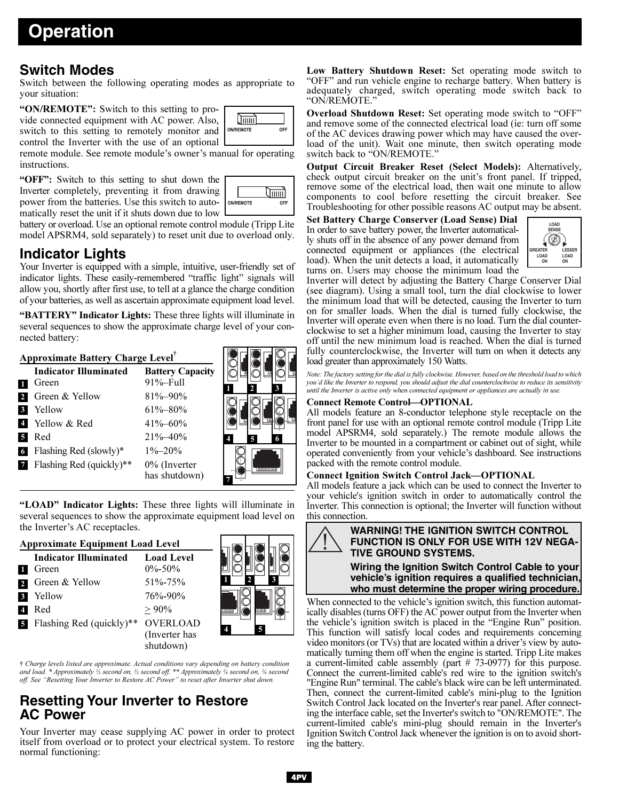# **Operation**

### **Switch Modes**

Switch between the following operating modes as appropriate to your situation:

"ON/REMOTE": Switch to this setting to provide connected equipment with AC power. Also, switch to this setting to remotely monitor and control the Inverter with the use of an optional

remote module. See remote module's owner's manual for operating instructions.

"OFF": Switch to this setting to shut down the Inverter completely, preventing it from drawing power from the batteries. Use this switch to automatically reset the unit if it shuts down due to low



ICFIOFICF

OFF

**Smmil ON/REMOTE** 

battery or overload. Use an optional remote control module (Tripp Lite model APSRM4, sold separately) to reset unit due to overload only.

## **Indicator Lights**

Your Inverter is equipped with a simple, intuitive, user-friendly set of indicator lights. These easily-remembered "traffic light" signals will allow you, shortly after first use, to tell at a glance the charge condition of your batteries, as well as ascertain approximate equipment load level.

"BATTERY" Indicator Lights: These three lights will illuminate in several sequences to show the approximate charge level of your connected battery:

### Approximate Battery Charge Level†

|          | <b>Indicator Illuminated</b><br>Green | <b>Battery Capacity</b><br>$91% - Full$ |   |
|----------|---------------------------------------|-----------------------------------------|---|
|          | Green & Yellow                        | $81\% - 90\%$                           |   |
| 3        | Yellow                                | $61\% - 80\%$                           |   |
|          | Yellow & Red                          | $41\% - 60\%$                           |   |
|          | Red                                   | $21\% - 40\%$                           | 5 |
| <b>6</b> | Flashing Red (slowly)*                | $1\% - 20\%$                            |   |
|          | Flashing Red (quickly)**              | $0\%$ (Inverter<br>has shutdown)        |   |

"LOAD" Indicator Lights: These three lights will illuminate in several sequences to show the approximate equipment load level on the Inverter's AC receptacles.

| <b>Approximate Equipment Load Level</b> |                                       |                                   |                     |
|-----------------------------------------|---------------------------------------|-----------------------------------|---------------------|
|                                         | <b>Indicator Illuminated</b><br>Green | <b>Load Level</b><br>$0\% - 50\%$ |                     |
|                                         | Green & Yellow                        | $51\% - 75\%$                     |                     |
| $\overline{3}$                          | Yellow                                | $76\% - 90\%$                     |                     |
| -4                                      | Red                                   | $> 90\%$                          | ШI<br>mm            |
| 5                                       | Flashing Red (quickly)**              | <b>OVERLOAD</b>                   | 5<br>$\overline{4}$ |
|                                         |                                       | (Inverter has<br>shutdown)        |                     |

† Charge levels listed are approximate. Actual conditions vary depending on battery condition and load. \* Approximately  $\frac{1}{2}$  second on,  $\frac{1}{2}$  second off. \*\* Approximately  $\frac{1}{4}$  second on,  $\frac{1}{4}$  second off. See "Resetting Your Inverter to Restore AC Power" to reset after Inverter shut down.

## **Resetting Your Inverter to Restore AC Power**

Your Inverter may cease supplying AC power in order to protect itself from overload or to protect your electrical system. To restore normal functioning:

Low Battery Shutdown Reset: Set operating mode switch to "OFF" and run vehicle engine to recharge battery. When battery is adequately charged, switch operating mode switch back to "ON/REMOTE."

Overload Shutdown Reset: Set operating mode switch to "OFF" and remove some of the connected electrical load (ie: turn off some of the AC devices drawing power which may have caused the overload of the unit). Wait one minute, then switch operating mode switch back to "ON/REMOTE."

Output Circuit Breaker Reset (Select Models): Alternatively, check output circuit breaker on the unit's front panel. If tripped, remove some of the electrical load, then wait one minute to allow components to cool before resetting the circuit breaker. See Troubleshooting for other possible reasons AC output may be absent.

Set Battery Charge Conserver (Load Sense) Dial In order to save battery power, the Inverter automatically shuts off in the absence of any power demand from connected equipment or appliances (the electrical load). When the unit detects a load, it automatically turns on. Users may choose the minimum load the



Inverter will detect by adjusting the Battery Charge Conserver Dial (see diagram). Using a small tool, turn the dial clockwise to lower the minimum load that will be detected, causing the Inverter to turn on for smaller loads. When the dial is turned fully clockwise, the Inverter will operate even when there is no load. Turn the dial counterclockwise to set a higher minimum load, causing the Inverter to stay off until the new minimum load is reached. When the dial is turned fully counterclockwise, the Inverter will turn on when it detects any load greater than approximately 150 Watts.

Note: The factory setting for the dial is fully clockwise. However, based on the threshold load to which you'd like the Inverter to respond, you should adjust the dial counterclockwise to reduce its sensitivity until the Inverter is active only when connected equipment or appliances are actually in use.

### Connect Remote Control—OPTIONAL

All models feature an 8-conductor telephone style receptacle on the front panel for use with an optional remote control module (Tripp Lite model APSRM4, sold separately.) The remote module allows the Inverter to be mounted in a compartment or cabinet out of sight, while operated conveniently from your vehicle's dashboard. See instructions packed with the remote control module.

### Connect Ignition Switch Control Jack—OPTIONAL

All models feature a jack which can be used to connect the Inverter to your vehicle's ignition switch in order to automatically control the Inverter. This connection is optional; the Inverter will function without this connection.



**vehicle's ignition requires a qualified technician, who must determine the proper wiring procedure.**

When connected to the vehicle's ignition switch, this function automatically disables (turns OFF) the AC power output from the Inverter when the vehicle's ignition switch is placed in the "Engine Run" position. This function will satisfy local codes and requirements concerning video monitors (or TVs) that are located within a driver's view by automatically turning them off when the engine is started. Tripp Lite makes a current-limited cable assembly (part # 73-0977) for this purpose. Connect the current-limited cable's red wire to the ignition switch's "Engine Run" terminal. The cable's black wire can be left unterminated. Then, connect the current-limited cable's mini-plug to the Ignition Switch Control Jack located on the Inverter's rear panel. After connecting the interface cable, set the Inverter's switch to "ON/REMOTE". The current-limited cable's mini-plug should remain in the Inverter's Ignition Switch Control Jack whenever the ignition is on to avoid shorting the battery.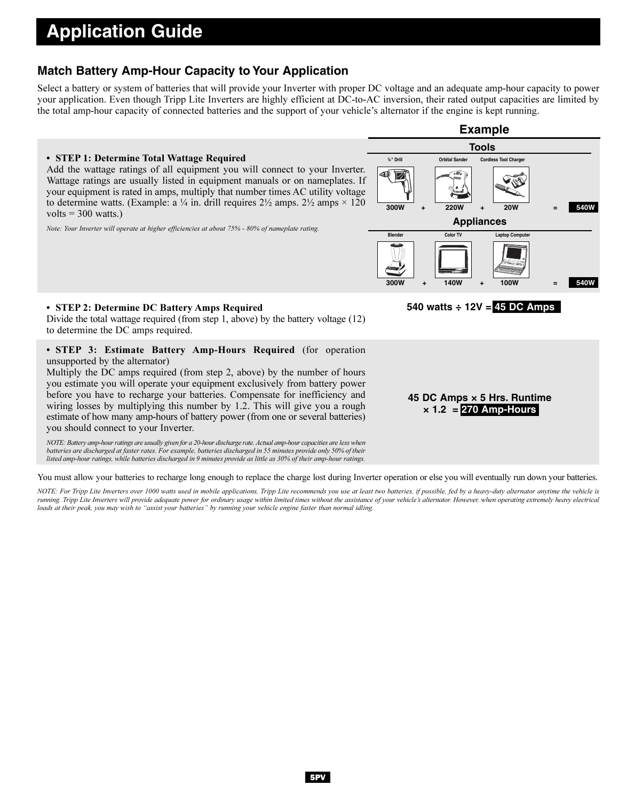# **Application Guide**

### **Match Battery Amp-Hour Capacity to Your Application**

Select a battery or system of batteries that will provide your Inverter with proper DC voltage and an adequate amp-hour capacity to power your application. Even though Tripp Lite Inverters are highly efficient at DC-to-AC inversion, their rated output capacities are limited by the total amp-hour capacity of connected batteries and the support of your vehicle's alternator if the engine is kept running.



You must allow your batteries to recharge long enough to replace the charge lost during Inverter operation or else you will eventually run down your batteries.

NOTE: For Tripp Lite Inverters over 1000 watts used in mobile applications, Tripp Lite recommends you use at least two batteries, if possible, fed by a heavy-duty alternator anytime the vehicle is running. Tripp Lite Inverters will provide adequate power for ordinary usage within limited times without the assistance of your vehicle's alternator. However, when operating extremely heavy electrical loads at their peak, you may wish to "assist your batteries" by running your vehicle engine faster than normal idling.

## 5PV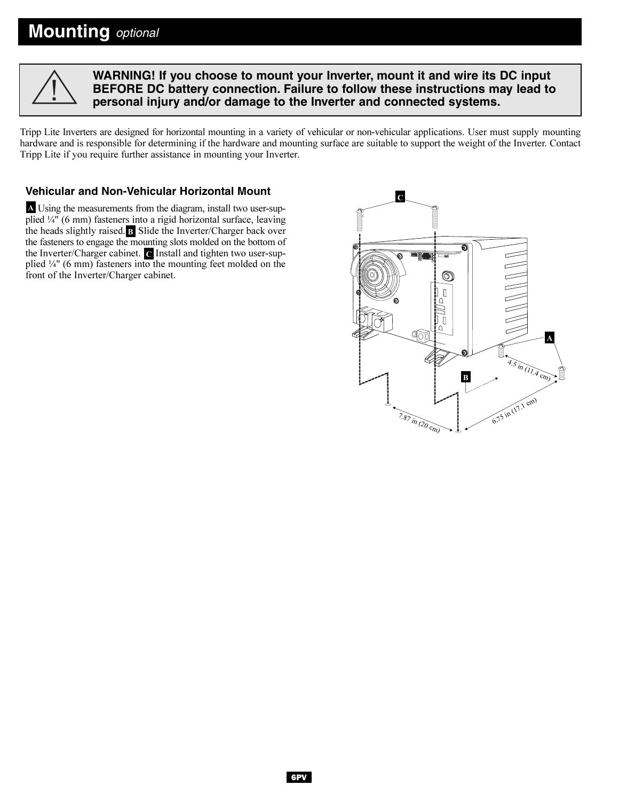

**WARNING! If you choose to mount your Inverter, mount it and wire its DC input BEFORE DC battery connection. Failure to follow these instructions may lead to personal injury and/or damage to the Inverter and connected systems.**

Tripp Lite Inverters are designed for horizontal mounting in a variety of vehicular or non-vehicular applications. User must supply mounting hardware and is responsible for determining if the hardware and mounting surface are suitable to support the weight of the Inverter. Contact Tripp Lite if you require further assistance in mounting your Inverter.

### **Vehicular and Non-Vehicular Horizontal Mount**

Using the measurements from the diagram, install two user-sup-A plied ¼" (6 mm) fasteners into a rigid horizontal surface, leaving the heads slightly raised. B Slide the Inverter/Charger back over the fasteners to engage the mounting slots molded on the bottom of the Inverter/Charger cabinet.  $\epsilon$  Install and tighten two user-supplied  $\frac{1}{4}$ " (6 mm) fasteners into the mounting feet molded on the front of the Inverter/Charger cabinet.

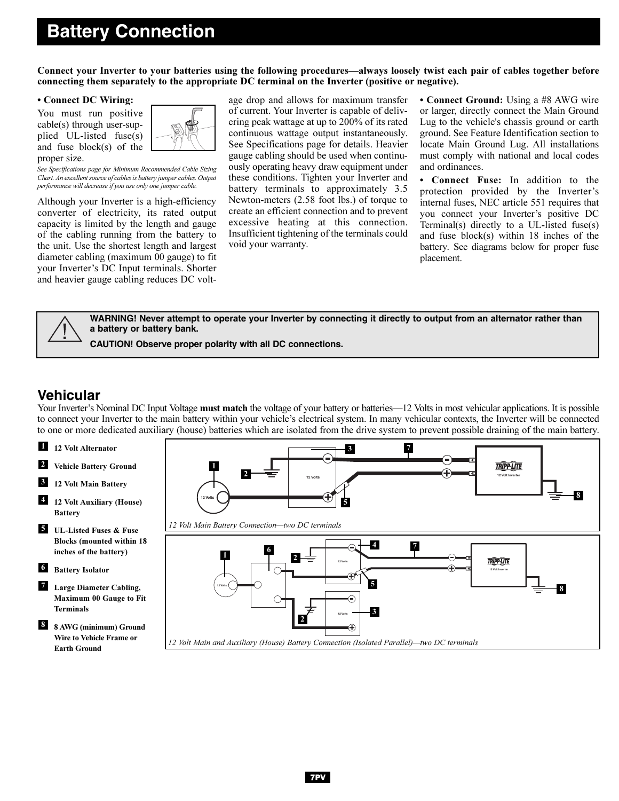# **Battery Connection**

Connect your Inverter to your batteries using the following procedures—always loosely twist each pair of cables together before connecting them separately to the appropriate DC terminal on the Inverter (positive or negative).

#### • Connect DC Wiring:

You must run positive cable(s) through user-supplied UL-listed fuse(s) and fuse block(s) of the proper size.



See Specifications page for Minimum Recommended Cable Sizing Chart. An excellent source of cables is battery jumper cables. Output performance will decrease if you use only one jumper cable.

Although your Inverter is a high-efficiency converter of electricity, its rated output capacity is limited by the length and gauge of the cabling running from the battery to the unit. Use the shortest length and largest diameter cabling (maximum 00 gauge) to fit your Inverter's DC Input terminals. Shorter and heavier gauge cabling reduces DC volt-



• Connect Ground: Using a #8 AWG wire or larger, directly connect the Main Ground Lug to the vehicle's chassis ground or earth ground. See Feature Identification section to locate Main Ground Lug. All installations must comply with national and local codes and ordinances.

• Connect Fuse: In addition to the protection provided by the Inverter's internal fuses, NEC article 551 requires that you connect your Inverter's positive DC Terminal(s) directly to a UL-listed fuse(s) and fuse block(s) within 18 inches of the battery. See diagrams below for proper fuse placement.



**WARNING! Never attempt to operate your Inverter by connecting it directly to output from an alternator rather than a battery or battery bank.**

**CAUTION! Observe proper polarity with all DC connections.**

## **Vehicular**

Your Inverter's Nominal DC Input Voltage must match the voltage of your battery or batteries—12 Volts in most vehicular applications. It is possible to connect your Inverter to the main battery within your vehicle's electrical system. In many vehicular contexts, the Inverter will be connected to one or more dedicated auxiliary (house) batteries which are isolated from the drive system to prevent possible draining of the main battery.

- 12 Volt Alternator 1
- Vehicle Battery Ground 2
- 12 Volt Main Battery 3
- 12 Volt Auxiliary (House) Battery 4
- UL-Listed Fuses & Fuse 5 Blocks (mounted within 18 inches of the battery)
- 6 Battery Isolator
- Large Diameter Cabling, Maximum 00 Gauge to Fit Terminals 7
- 8 AWG (minimum) Ground Wire to Vehicle Frame or Earth Ground 8